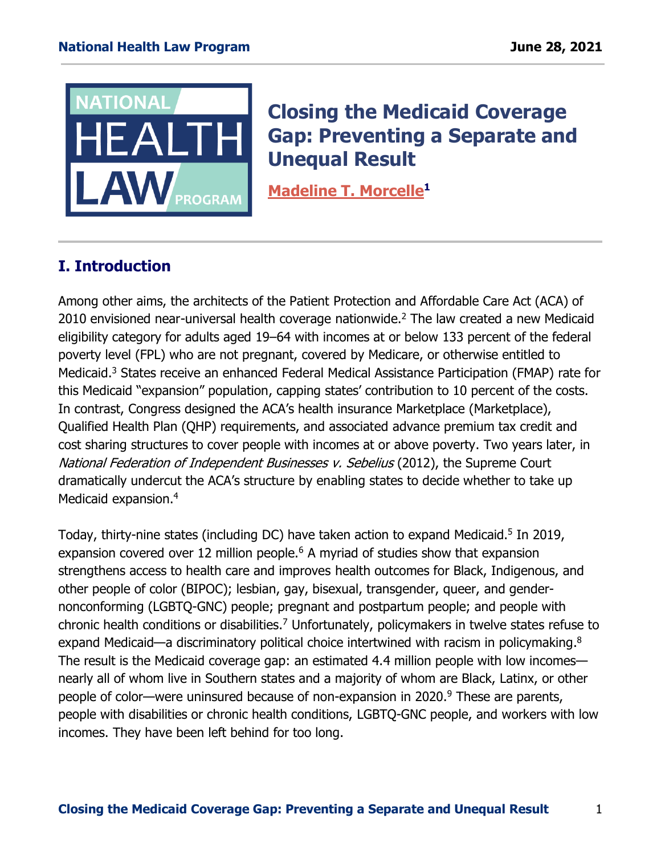

# **Closing the Medicaid Coverage Gap: Preventing a Separate and Unequal Result**

**[Madeline](https://healthlaw.org/team/madeline-morcelle/) T. Morcelle<sup>1</sup>**

# **I. Introduction**

Among other aims, the architects of the Patient Protection and Affordable Care Act (ACA) of 2010 envisioned near-universal health coverage nationwide.<sup>2</sup> The law created a new Medicaid eligibility category for adults aged 19–64 with incomes at or below 133 percent of the federal poverty level (FPL) who are not pregnant, covered by Medicare, or otherwise entitled to Medicaid. <sup>3</sup> States receive an enhanced Federal Medical Assistance Participation (FMAP) rate for this Medicaid "expansion" population, capping states' contribution to 10 percent of the costs. In contrast, Congress designed the ACA's health insurance Marketplace (Marketplace), Qualified Health Plan (QHP) requirements, and associated advance premium tax credit and cost sharing structures to cover people with incomes at or above poverty. Two years later, in National Federation of Independent Businesses v. Sebelius (2012), the Supreme Court dramatically undercut the ACA's structure by enabling states to decide whether to take up Medicaid expansion. 4

Today, thirty-nine states (including DC) have taken action to expand Medicaid. 5 In 2019, expansion covered over 12 million people.<sup>6</sup> A myriad of studies show that expansion strengthens access to health care and improves health outcomes for Black, Indigenous, and other people of color (BIPOC); lesbian, gay, bisexual, transgender, queer, and gendernonconforming (LGBTQ-GNC) people; pregnant and postpartum people; and people with chronic health conditions or disabilities. <sup>7</sup> Unfortunately, policymakers in twelve states refuse to expand Medicaid—a discriminatory political choice intertwined with racism in policymaking.<sup>8</sup> The result is the Medicaid coverage gap: an estimated 4.4 million people with low incomes nearly all of whom live in Southern states and a majority of whom are Black, Latinx, or other people of color—were uninsured because of non-expansion in 2020. <sup>9</sup> These are parents, people with disabilities or chronic health conditions, LGBTQ-GNC people, and workers with low incomes. They have been left behind for too long.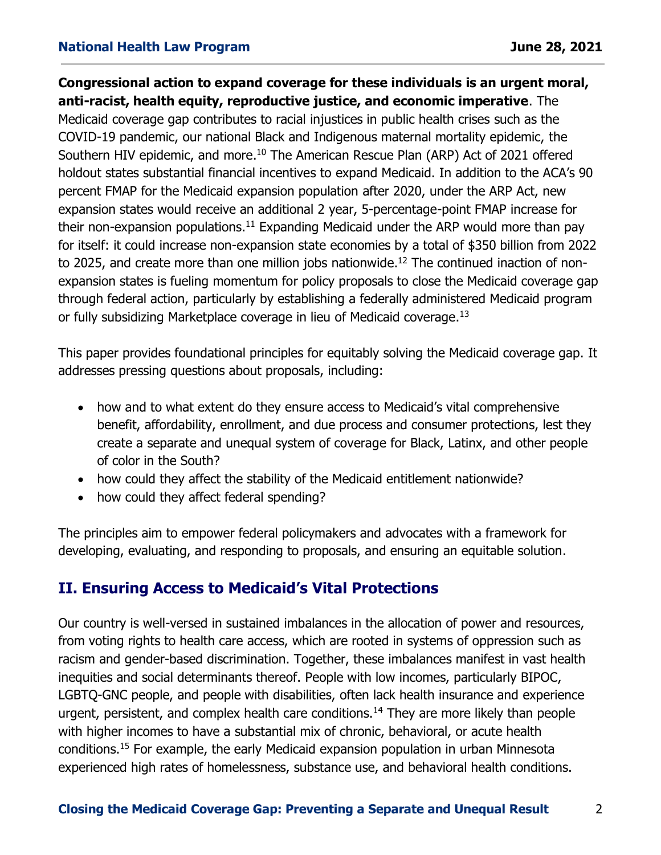**Congressional action to expand coverage for these individuals is an urgent moral, anti-racist, health equity, reproductive justice, and economic imperative**. The Medicaid coverage gap contributes to racial injustices in public health crises such as the COVID-19 pandemic, our national Black and Indigenous maternal mortality epidemic, the Southern HIV epidemic, and more.<sup>10</sup> The American Rescue Plan (ARP) Act of 2021 offered holdout states substantial financial incentives to expand Medicaid. In addition to the ACA's 90 percent FMAP for the Medicaid expansion population after 2020, under the ARP Act, new expansion states would receive an additional 2 year, 5-percentage-point FMAP increase for their non-expansion populations.<sup>11</sup> Expanding Medicaid under the ARP would more than pay for itself: it could increase non-expansion state economies by a total of \$350 billion from 2022 to 2025, and create more than one million jobs nationwide.<sup>12</sup> The continued inaction of nonexpansion states is fueling momentum for policy proposals to close the Medicaid coverage gap through federal action, particularly by establishing a federally administered Medicaid program or fully subsidizing Marketplace coverage in lieu of Medicaid coverage.<sup>13</sup>

This paper provides foundational principles for equitably solving the Medicaid coverage gap. It addresses pressing questions about proposals, including:

- how and to what extent do they ensure access to Medicaid's vital comprehensive benefit, affordability, enrollment, and due process and consumer protections, lest they create a separate and unequal system of coverage for Black, Latinx, and other people of color in the South?
- how could they affect the stability of the Medicaid entitlement nationwide?
- how could they affect federal spending?

The principles aim to empower federal policymakers and advocates with a framework for developing, evaluating, and responding to proposals, and ensuring an equitable solution.

# **II. Ensuring Access to Medicaid's Vital Protections**

Our country is well-versed in sustained imbalances in the allocation of power and resources, from voting rights to health care access, which are rooted in systems of oppression such as racism and gender-based discrimination. Together, these imbalances manifest in vast health inequities and social determinants thereof. People with low incomes, particularly BIPOC, LGBTQ-GNC people, and people with disabilities, often lack health insurance and experience urgent, persistent, and complex health care conditions.<sup>14</sup> They are more likely than people with higher incomes to have a substantial mix of chronic, behavioral, or acute health conditions.<sup>15</sup> For example, the early Medicaid expansion population in urban Minnesota experienced high rates of homelessness, substance use, and behavioral health conditions.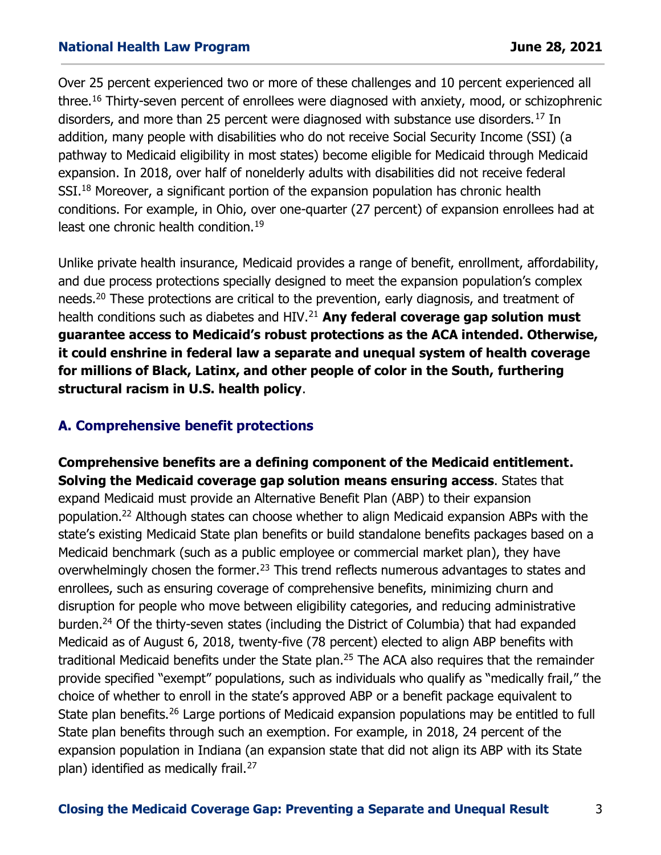Over 25 percent experienced two or more of these challenges and 10 percent experienced all three.<sup>16</sup> Thirty-seven percent of enrollees were diagnosed with anxiety, mood, or schizophrenic disorders, and more than 25 percent were diagnosed with substance use disorders.<sup>17</sup> In addition, many people with disabilities who do not receive Social Security Income (SSI) (a pathway to Medicaid eligibility in most states) become eligible for Medicaid through Medicaid expansion. In 2018, over half of nonelderly adults with disabilities did not receive federal SSI.<sup>18</sup> Moreover, a significant portion of the expansion population has chronic health conditions. For example, in Ohio, over one-quarter (27 percent) of expansion enrollees had at least one chronic health condition.<sup>19</sup>

Unlike private health insurance, Medicaid provides a range of benefit, enrollment, affordability, and due process protections specially designed to meet the expansion population's complex needs.<sup>20</sup> These protections are critical to the prevention, early diagnosis, and treatment of health conditions such as diabetes and HIV.<sup>21</sup> **Any federal coverage gap solution must guarantee access to Medicaid's robust protections as the ACA intended. Otherwise, it could enshrine in federal law a separate and unequal system of health coverage for millions of Black, Latinx, and other people of color in the South, furthering structural racism in U.S. health policy**.

## **A. Comprehensive benefit protections**

**Comprehensive benefits are a defining component of the Medicaid entitlement. Solving the Medicaid coverage gap solution means ensuring access**. States that expand Medicaid must provide an Alternative Benefit Plan (ABP) to their expansion population. <sup>22</sup> Although states can choose whether to align Medicaid expansion ABPs with the state's existing Medicaid State plan benefits or build standalone benefits packages based on a Medicaid benchmark (such as a public employee or commercial market plan), they have overwhelmingly chosen the former.<sup>23</sup> This trend reflects numerous advantages to states and enrollees, such as ensuring coverage of comprehensive benefits, minimizing churn and disruption for people who move between eligibility categories, and reducing administrative burden.<sup>24</sup> Of the thirty-seven states (including the District of Columbia) that had expanded Medicaid as of August 6, 2018, twenty-five (78 percent) elected to align ABP benefits with traditional Medicaid benefits under the State plan.<sup>25</sup> The ACA also requires that the remainder provide specified "exempt" populations, such as individuals who qualify as "medically frail," the choice of whether to enroll in the state's approved ABP or a benefit package equivalent to State plan benefits.<sup>26</sup> Large portions of Medicaid expansion populations may be entitled to full State plan benefits through such an exemption. For example, in 2018, 24 percent of the expansion population in Indiana (an expansion state that did not align its ABP with its State plan) identified as medically frail.<sup>27</sup>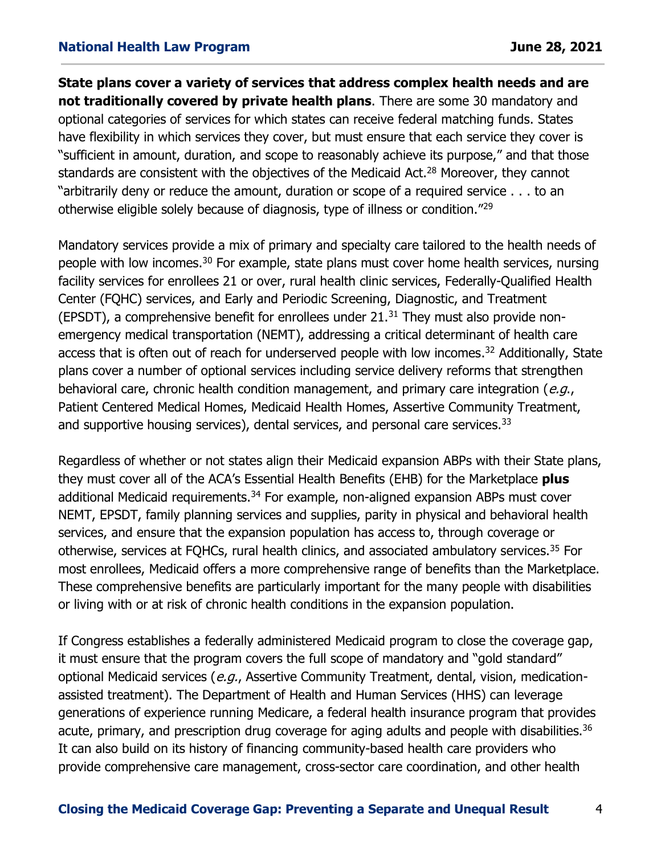**State plans cover a variety of services that address complex health needs and are not traditionally covered by private health plans**. There are some 30 mandatory and optional categories of services for which states can receive federal matching funds. States have flexibility in which services they cover, but must ensure that each service they cover is "sufficient in amount, duration, and scope to reasonably achieve its purpose," and that those standards are consistent with the objectives of the Medicaid Act.<sup>28</sup> Moreover, they cannot "arbitrarily deny or reduce the amount, duration or scope of a required service . . . to an otherwise eligible solely because of diagnosis, type of illness or condition."<sup>29</sup>

Mandatory services provide a mix of primary and specialty care tailored to the health needs of people with low incomes.<sup>30</sup> For example, state plans must cover home health services, nursing facility services for enrollees 21 or over, rural health clinic services, Federally-Qualified Health Center (FQHC) services, and Early and Periodic Screening, Diagnostic, and Treatment (EPSDT), a comprehensive benefit for enrollees under  $21.31$  They must also provide nonemergency medical transportation (NEMT), addressing a critical determinant of health care access that is often out of reach for underserved people with low incomes.<sup>32</sup> Additionally, State plans cover a number of optional services including service delivery reforms that strengthen behavioral care, chronic health condition management, and primary care integration ( $e.q.,$ Patient Centered Medical Homes, Medicaid Health Homes, Assertive Community Treatment, and supportive housing services), dental services, and personal care services.<sup>33</sup>

Regardless of whether or not states align their Medicaid expansion ABPs with their State plans, they must cover all of the ACA's Essential Health Benefits (EHB) for the Marketplace **plus** additional Medicaid requirements.<sup>34</sup> For example, non-aligned expansion ABPs must cover NEMT, EPSDT, family planning services and supplies, parity in physical and behavioral health services, and ensure that the expansion population has access to, through coverage or otherwise, services at FQHCs, rural health clinics, and associated ambulatory services.<sup>35</sup> For most enrollees, Medicaid offers a more comprehensive range of benefits than the Marketplace. These comprehensive benefits are particularly important for the many people with disabilities or living with or at risk of chronic health conditions in the expansion population.

If Congress establishes a federally administered Medicaid program to close the coverage gap, it must ensure that the program covers the full scope of mandatory and "gold standard" optional Medicaid services (e.g., Assertive Community Treatment, dental, vision, medicationassisted treatment). The Department of Health and Human Services (HHS) can leverage generations of experience running Medicare, a federal health insurance program that provides acute, primary, and prescription drug coverage for aging adults and people with disabilities.<sup>36</sup> It can also build on its history of financing community-based health care providers who provide comprehensive care management, cross-sector care coordination, and other health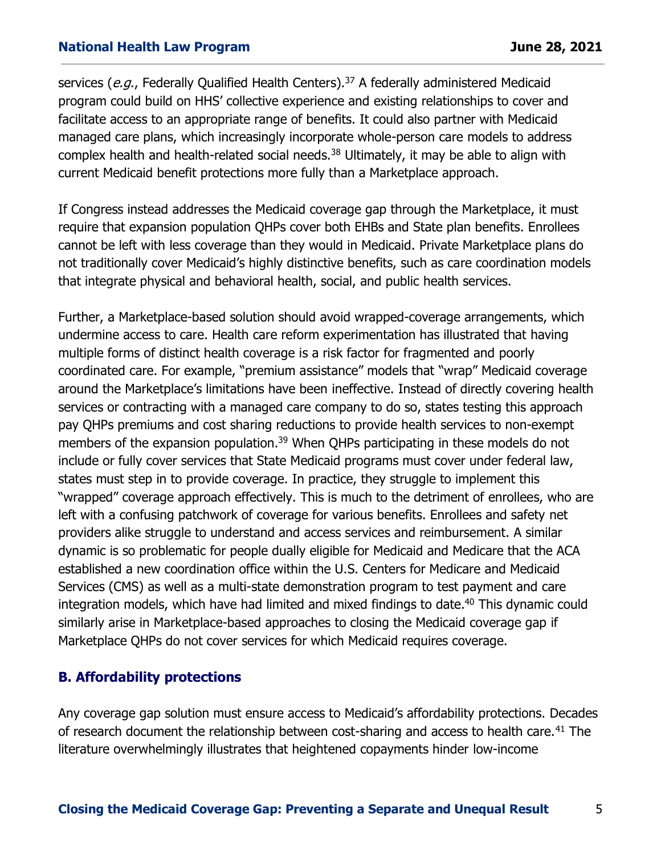services (e.g., Federally Qualified Health Centers).<sup>37</sup> A federally administered Medicaid program could build on HHS' collective experience and existing relationships to cover and facilitate access to an appropriate range of benefits. It could also partner with Medicaid managed care plans, which increasingly incorporate whole-person care models to address complex health and health-related social needs.<sup>38</sup> Ultimately, it may be able to align with current Medicaid benefit protections more fully than a Marketplace approach.

If Congress instead addresses the Medicaid coverage gap through the Marketplace, it must require that expansion population QHPs cover both EHBs and State plan benefits. Enrollees cannot be left with less coverage than they would in Medicaid. Private Marketplace plans do not traditionally cover Medicaid's highly distinctive benefits, such as care coordination models that integrate physical and behavioral health, social, and public health services.

Further, a Marketplace-based solution should avoid wrapped-coverage arrangements, which undermine access to care. Health care reform experimentation has illustrated that having multiple forms of distinct health coverage is a risk factor for fragmented and poorly coordinated care. For example, "premium assistance" models that "wrap" Medicaid coverage around the Marketplace's limitations have been ineffective. Instead of directly covering health services or contracting with a managed care company to do so, states testing this approach pay QHPs premiums and cost sharing reductions to provide health services to non-exempt members of the expansion population.<sup>39</sup> When QHPs participating in these models do not include or fully cover services that State Medicaid programs must cover under federal law, states must step in to provide coverage. In practice, they struggle to implement this "wrapped" coverage approach effectively. This is much to the detriment of enrollees, who are left with a confusing patchwork of coverage for various benefits. Enrollees and safety net providers alike struggle to understand and access services and reimbursement. A similar dynamic is so problematic for people dually eligible for Medicaid and Medicare that the ACA established a new coordination office within the U.S. Centers for Medicare and Medicaid Services (CMS) as well as a multi-state demonstration program to test payment and care integration models, which have had limited and mixed findings to date. <sup>40</sup> This dynamic could similarly arise in Marketplace-based approaches to closing the Medicaid coverage gap if Marketplace QHPs do not cover services for which Medicaid requires coverage.

## **B. Affordability protections**

Any coverage gap solution must ensure access to Medicaid's affordability protections. Decades of research document the relationship between cost-sharing and access to health care.<sup>41</sup> The literature overwhelmingly illustrates that heightened copayments hinder low-income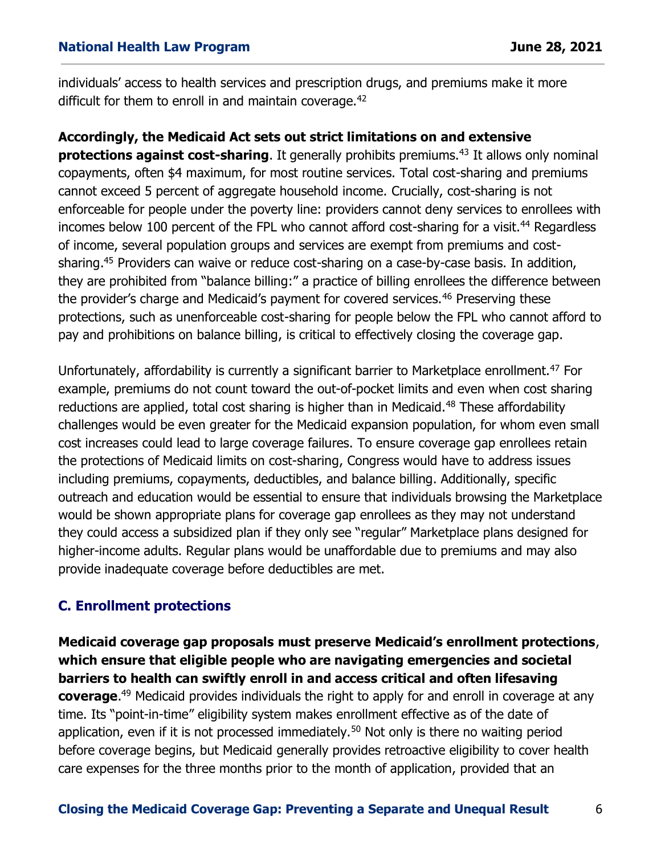individuals' access to health services and prescription drugs, and premiums make it more difficult for them to enroll in and maintain coverage.<sup>42</sup>

## **Accordingly, the Medicaid Act sets out strict limitations on and extensive**

**protections against cost-sharing**. It generally prohibits premiums.<sup>43</sup> It allows only nominal copayments, often \$4 maximum, for most routine services. Total cost-sharing and premiums cannot exceed 5 percent of aggregate household income. Crucially, cost-sharing is not enforceable for people under the poverty line: providers cannot deny services to enrollees with incomes below 100 percent of the FPL who cannot afford cost-sharing for a visit.<sup>44</sup> Regardless of income, several population groups and services are exempt from premiums and costsharing. <sup>45</sup> Providers can waive or reduce cost-sharing on a case-by-case basis. In addition, they are prohibited from "balance billing:" a practice of billing enrollees the difference between the provider's charge and Medicaid's payment for covered services.<sup>46</sup> Preserving these protections, such as unenforceable cost-sharing for people below the FPL who cannot afford to pay and prohibitions on balance billing, is critical to effectively closing the coverage gap.

Unfortunately, affordability is currently a significant barrier to Marketplace enrollment. <sup>47</sup> For example, premiums do not count toward the out-of-pocket limits and even when cost sharing reductions are applied, total cost sharing is higher than in Medicaid.<sup>48</sup> These affordability challenges would be even greater for the Medicaid expansion population, for whom even small cost increases could lead to large coverage failures. To ensure coverage gap enrollees retain the protections of Medicaid limits on cost-sharing, Congress would have to address issues including premiums, copayments, deductibles, and balance billing. Additionally, specific outreach and education would be essential to ensure that individuals browsing the Marketplace would be shown appropriate plans for coverage gap enrollees as they may not understand they could access a subsidized plan if they only see "regular" Marketplace plans designed for higher-income adults. Regular plans would be unaffordable due to premiums and may also provide inadequate coverage before deductibles are met.

## **C. Enrollment protections**

**Medicaid coverage gap proposals must preserve Medicaid's enrollment protections**, **which ensure that eligible people who are navigating emergencies and societal barriers to health can swiftly enroll in and access critical and often lifesaving coverage**. <sup>49</sup> Medicaid provides individuals the right to apply for and enroll in coverage at any time. Its "point-in-time" eligibility system makes enrollment effective as of the date of application, even if it is not processed immediately.<sup>50</sup> Not only is there no waiting period before coverage begins, but Medicaid generally provides retroactive eligibility to cover health care expenses for the three months prior to the month of application, provided that an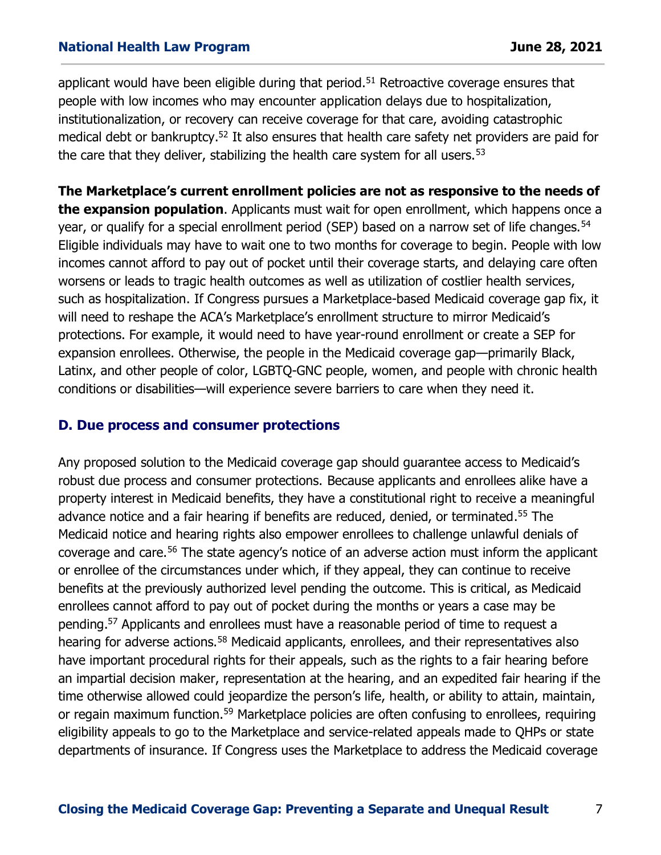applicant would have been eligible during that period.<sup>51</sup> Retroactive coverage ensures that people with low incomes who may encounter application delays due to hospitalization, institutionalization, or recovery can receive coverage for that care, avoiding catastrophic medical debt or bankruptcy.<sup>52</sup> It also ensures that health care safety net providers are paid for the care that they deliver, stabilizing the health care system for all users.  $53$ 

**The Marketplace's current enrollment policies are not as responsive to the needs of the expansion population**. Applicants must wait for open enrollment, which happens once a year, or qualify for a special enrollment period (SEP) based on a narrow set of life changes.<sup>54</sup> Eligible individuals may have to wait one to two months for coverage to begin. People with low incomes cannot afford to pay out of pocket until their coverage starts, and delaying care often worsens or leads to tragic health outcomes as well as utilization of costlier health services, such as hospitalization. If Congress pursues a Marketplace-based Medicaid coverage gap fix, it will need to reshape the ACA's Marketplace's enrollment structure to mirror Medicaid's protections. For example, it would need to have year-round enrollment or create a SEP for expansion enrollees. Otherwise, the people in the Medicaid coverage gap—primarily Black, Latinx, and other people of color, LGBTQ-GNC people, women, and people with chronic health conditions or disabilities—will experience severe barriers to care when they need it.

#### **D. Due process and consumer protections**

Any proposed solution to the Medicaid coverage gap should guarantee access to Medicaid's robust due process and consumer protections. Because applicants and enrollees alike have a property interest in Medicaid benefits, they have a constitutional right to receive a meaningful advance notice and a fair hearing if benefits are reduced, denied, or terminated. <sup>55</sup> The Medicaid notice and hearing rights also empower enrollees to challenge unlawful denials of coverage and care.<sup>56</sup> The state agency's notice of an adverse action must inform the applicant or enrollee of the circumstances under which, if they appeal, they can continue to receive benefits at the previously authorized level pending the outcome. This is critical, as Medicaid enrollees cannot afford to pay out of pocket during the months or years a case may be pending.<sup>57</sup> Applicants and enrollees must have a reasonable period of time to request a hearing for adverse actions.<sup>58</sup> Medicaid applicants, enrollees, and their representatives also have important procedural rights for their appeals, such as the rights to a fair hearing before an impartial decision maker, representation at the hearing, and an expedited fair hearing if the time otherwise allowed could jeopardize the person's life, health, or ability to attain, maintain, or regain maximum function.<sup>59</sup> Marketplace policies are often confusing to enrollees, requiring eligibility appeals to go to the Marketplace and service-related appeals made to QHPs or state departments of insurance. If Congress uses the Marketplace to address the Medicaid coverage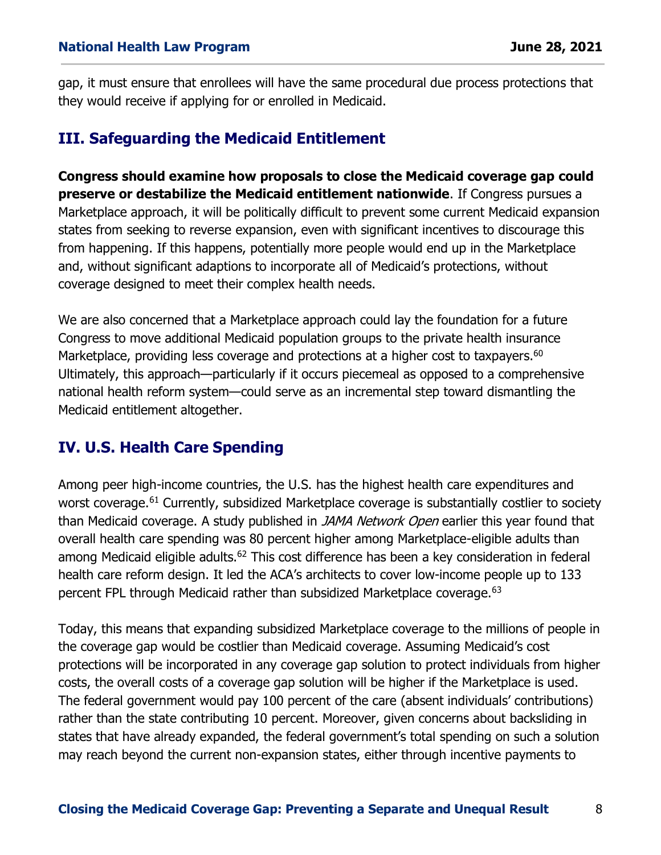gap, it must ensure that enrollees will have the same procedural due process protections that they would receive if applying for or enrolled in Medicaid.

# **III. Safeguarding the Medicaid Entitlement**

**Congress should examine how proposals to close the Medicaid coverage gap could preserve or destabilize the Medicaid entitlement nationwide**. If Congress pursues a Marketplace approach, it will be politically difficult to prevent some current Medicaid expansion states from seeking to reverse expansion, even with significant incentives to discourage this from happening. If this happens, potentially more people would end up in the Marketplace and, without significant adaptions to incorporate all of Medicaid's protections, without coverage designed to meet their complex health needs.

We are also concerned that a Marketplace approach could lay the foundation for a future Congress to move additional Medicaid population groups to the private health insurance Marketplace, providing less coverage and protections at a higher cost to taxpayers.<sup>60</sup> Ultimately, this approach—particularly if it occurs piecemeal as opposed to a comprehensive national health reform system—could serve as an incremental step toward dismantling the Medicaid entitlement altogether.

# **IV. U.S. Health Care Spending**

Among peer high-income countries, the U.S. has the highest health care expenditures and worst coverage.<sup>61</sup> Currently, subsidized Marketplace coverage is substantially costlier to society than Medicaid coverage. A study published in JAMA Network Open earlier this year found that overall health care spending was 80 percent higher among Marketplace-eligible adults than among Medicaid eligible adults.<sup>62</sup> This cost difference has been a key consideration in federal health care reform design. It led the ACA's architects to cover low-income people up to 133 percent FPL through Medicaid rather than subsidized Marketplace coverage.<sup>63</sup>

Today, this means that expanding subsidized Marketplace coverage to the millions of people in the coverage gap would be costlier than Medicaid coverage. Assuming Medicaid's cost protections will be incorporated in any coverage gap solution to protect individuals from higher costs, the overall costs of a coverage gap solution will be higher if the Marketplace is used. The federal government would pay 100 percent of the care (absent individuals' contributions) rather than the state contributing 10 percent. Moreover, given concerns about backsliding in states that have already expanded, the federal government's total spending on such a solution may reach beyond the current non-expansion states, either through incentive payments to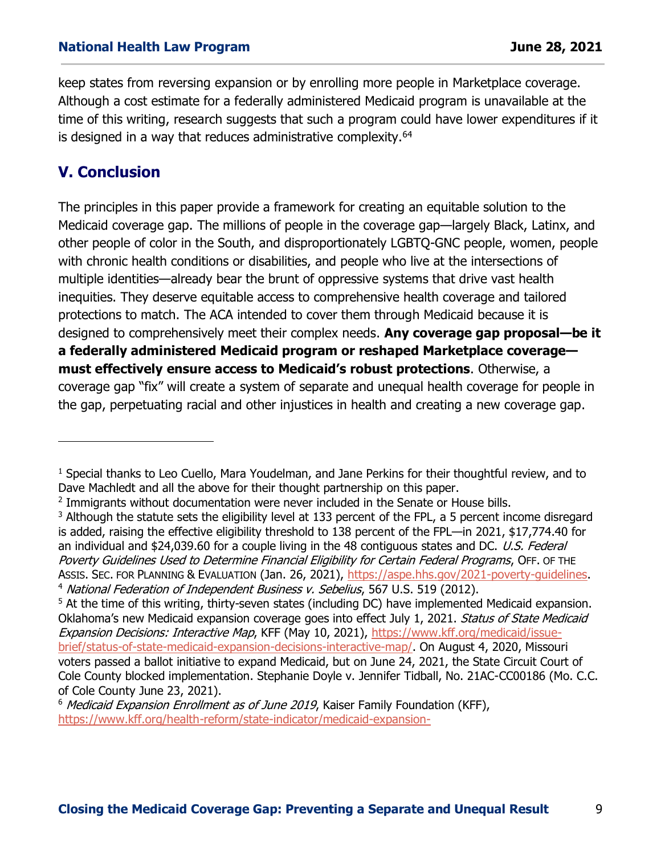keep states from reversing expansion or by enrolling more people in Marketplace coverage. Although a cost estimate for a federally administered Medicaid program is unavailable at the time of this writing, research suggests that such a program could have lower expenditures if it is designed in a way that reduces administrative complexity.<sup>64</sup>

# **V. Conclusion**

The principles in this paper provide a framework for creating an equitable solution to the Medicaid coverage gap. The millions of people in the coverage gap—largely Black, Latinx, and other people of color in the South, and disproportionately LGBTQ-GNC people, women, people with chronic health conditions or disabilities, and people who live at the intersections of multiple identities—already bear the brunt of oppressive systems that drive vast health inequities. They deserve equitable access to comprehensive health coverage and tailored protections to match. The ACA intended to cover them through Medicaid because it is designed to comprehensively meet their complex needs. **Any coverage gap proposal—be it a federally administered Medicaid program or reshaped Marketplace coverage must effectively ensure access to Medicaid's robust protections**. Otherwise, a coverage gap "fix" will create a system of separate and unequal health coverage for people in the gap, perpetuating racial and other injustices in health and creating a new coverage gap.

<sup>&</sup>lt;sup>1</sup> Special thanks to Leo Cuello, Mara Youdelman, and Jane Perkins for their thoughtful review, and to Dave Machledt and all the above for their thought partnership on this paper.

<sup>&</sup>lt;sup>2</sup> Immigrants without documentation were never included in the Senate or House bills.

<sup>&</sup>lt;sup>3</sup> Although the statute sets the eligibility level at 133 percent of the FPL, a 5 percent income disregard is added, raising the effective eligibility threshold to 138 percent of the FPL—in 2021, \$17,774.40 for an individual and \$24,039.60 for a couple living in the 48 contiguous states and DC. U.S. Federal Poverty Guidelines Used to Determine Financial Eligibility for Certain Federal Programs, OFF. OF THE ASSIS. SEC. FOR PLANNING & EVALUATION (Jan. 26, 2021), [https://aspe.hhs.gov/2021-poverty-guidelines.](https://aspe.hhs.gov/2021-poverty-guidelines) <sup>4</sup> National Federation of Independent Business v. Sebelius, 567 U.S. 519 (2012).

<sup>&</sup>lt;sup>5</sup> At the time of this writing, thirty-seven states (including DC) have implemented Medicaid expansion. Oklahoma's new Medicaid expansion coverage goes into effect July 1, 2021. Status of State Medicaid Expansion Decisions: Interactive Map, KFF (May 10, 2021), [https://www.kff.org/medicaid/issue](https://www.kff.org/medicaid/issue-brief/status-of-state-medicaid-expansion-decisions-interactive-map/)[brief/status-of-state-medicaid-expansion-decisions-interactive-map/.](https://www.kff.org/medicaid/issue-brief/status-of-state-medicaid-expansion-decisions-interactive-map/) On August 4, 2020, Missouri voters passed a ballot initiative to expand Medicaid, but on June 24, 2021, the State Circuit Court of Cole County blocked implementation. Stephanie Doyle v. Jennifer Tidball, No. 21AC-CC00186 (Mo. C.C. of Cole County June 23, 2021).

 $6$  Medicaid Expansion Enrollment as of June 2019, Kaiser Family Foundation (KFF), [https://www.kff.org/health-reform/state-indicator/medicaid-expansion-](https://www.kff.org/health-reform/state-indicator/medicaid-expansion-enrollment/?currentTimeframe=0&sortModel=%7B%22colId%22:%22Location%22,%22sort%22:%22asc%22%7D)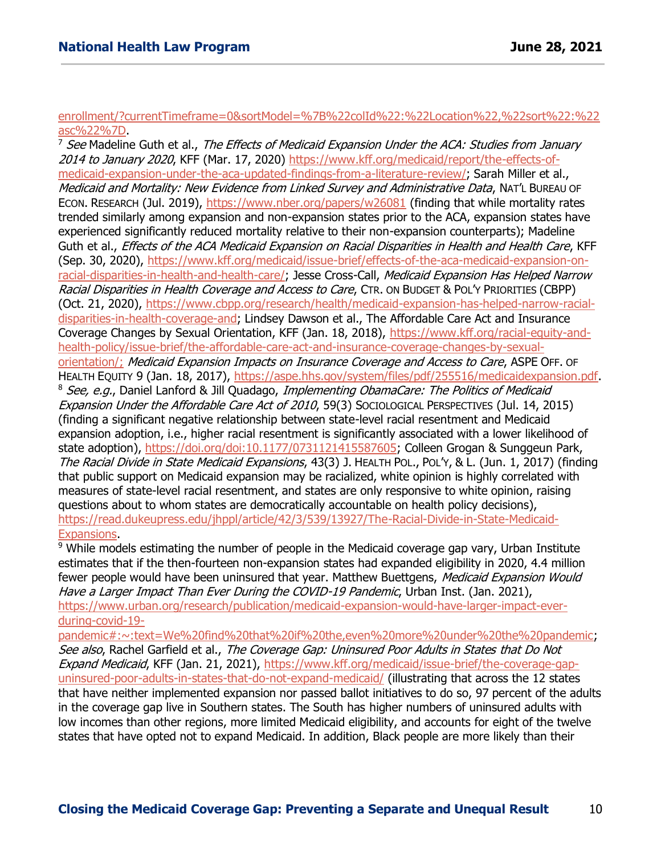#### [enrollment/?currentTimeframe=0&sortModel=%7B%22colId%22:%22Location%22,%22sort%22:%22](https://www.kff.org/health-reform/state-indicator/medicaid-expansion-enrollment/?currentTimeframe=0&sortModel=%7B%22colId%22:%22Location%22,%22sort%22:%22asc%22%7D) [asc%22%7D.](https://www.kff.org/health-reform/state-indicator/medicaid-expansion-enrollment/?currentTimeframe=0&sortModel=%7B%22colId%22:%22Location%22,%22sort%22:%22asc%22%7D)

<sup>7</sup> See Madeline Guth et al., The Effects of Medicaid Expansion Under the ACA: Studies from January 2014 to January 2020, KFF (Mar. 17, 2020) [https://www.kff.org/medicaid/report/the-effects-of](https://www.kff.org/medicaid/report/the-effects-of-medicaid-expansion-under-the-aca-updated-findings-from-a-literature-review/)[medicaid-expansion-under-the-aca-updated-findings-from-a-literature-review/;](https://www.kff.org/medicaid/report/the-effects-of-medicaid-expansion-under-the-aca-updated-findings-from-a-literature-review/) Sarah Miller et al., Medicaid and Mortality: New Evidence from Linked Survey and Administrative Data, NAT'L BUREAU OF ECON. RESEARCH (Jul. 2019),<https://www.nber.org/papers/w26081> (finding that while mortality rates trended similarly among expansion and non-expansion states prior to the ACA, expansion states have experienced significantly reduced mortality relative to their non-expansion counterparts); Madeline Guth et al., Effects of the ACA Medicaid Expansion on Racial Disparities in Health and Health Care, KFF (Sep. 30, 2020), [https://www.kff.org/medicaid/issue-brief/effects-of-the-aca-medicaid-expansion-on](https://www.kff.org/medicaid/issue-brief/effects-of-the-aca-medicaid-expansion-on-racial-disparities-in-health-and-health-care/)[racial-disparities-in-health-and-health-care/;](https://www.kff.org/medicaid/issue-brief/effects-of-the-aca-medicaid-expansion-on-racial-disparities-in-health-and-health-care/) Jesse Cross-Call, Medicaid Expansion Has Helped Narrow Racial Disparities in Health Coverage and Access to Care, CTR. ON BUDGET & POL'Y PRIORITIES (CBPP) (Oct. 21, 2020), [https://www.cbpp.org/research/health/medicaid-expansion-has-helped-narrow-racial](https://www.cbpp.org/research/health/medicaid-expansion-has-helped-narrow-racial-disparities-in-health-coverage-and)[disparities-in-health-coverage-and;](https://www.cbpp.org/research/health/medicaid-expansion-has-helped-narrow-racial-disparities-in-health-coverage-and) Lindsey Dawson et al., The Affordable Care Act and Insurance Coverage Changes by Sexual Orientation, KFF (Jan. 18, 2018), [https://www.kff.org/racial-equity-and](https://www.kff.org/racial-equity-and-health-policy/issue-brief/the-affordable-care-act-and-insurance-coverage-changes-by-sexual-orientation/)[health-policy/issue-brief/the-affordable-care-act-and-insurance-coverage-changes-by-sexual](https://www.kff.org/racial-equity-and-health-policy/issue-brief/the-affordable-care-act-and-insurance-coverage-changes-by-sexual-orientation/)[orientation/;](https://www.kff.org/racial-equity-and-health-policy/issue-brief/the-affordable-care-act-and-insurance-coverage-changes-by-sexual-orientation/) Medicaid Expansion Impacts on Insurance Coverage and Access to Care, ASPE OFF. OF HEALTH EQUITY 9 (Jan. 18, 2017), [https://aspe.hhs.gov/system/files/pdf/255516/medicaidexpansion.pdf.](https://aspe.hhs.gov/system/files/pdf/255516/medicaidexpansion.pdf) <sup>8</sup> See, e.g., Daniel Lanford & Jill Quadago, *Implementing ObamaCare: The Politics of Medicaid* Expansion Under the Affordable Care Act of 2010, 59(3) SocioLogical PERSPECTIVES (Jul. 14, 2015) (finding a significant negative relationship between state-level racial resentment and Medicaid expansion adoption, i.e., higher racial resentment is significantly associated with a lower likelihood of state adoption), [https://doi.org/doi:10.1177/0731121415587605;](https://doi.org/doi:10.1177/0731121415587605) Colleen Grogan & Sunggeun Park, The Racial Divide in State Medicaid Expansions, 43(3) J. HEALTH POL., POL'Y, & L. (Jun. 1, 2017) (finding that public support on Medicaid expansion may be racialized, white opinion is highly correlated with measures of state-level racial resentment, and states are only responsive to white opinion, raising questions about to whom states are democratically accountable on health policy decisions), [https://read.dukeupress.edu/jhppl/article/42/3/539/13927/The-Racial-Divide-in-State-Medicaid-](https://read.dukeupress.edu/jhppl/article/42/3/539/13927/The-Racial-Divide-in-State-Medicaid-Expansions)[Expansions.](https://read.dukeupress.edu/jhppl/article/42/3/539/13927/The-Racial-Divide-in-State-Medicaid-Expansions)

<sup>9</sup> While models estimating the number of people in the Medicaid coverage gap vary, Urban Institute estimates that if the then-fourteen non-expansion states had expanded eligibility in 2020, 4.4 million fewer people would have been uninsured that year. Matthew Buettgens, Medicaid Expansion Would Have a Larger Impact Than Ever During the COVID-19 Pandemic, Urban Inst. (Jan. 2021), [https://www.urban.org/research/publication/medicaid-expansion-would-have-larger-impact-ever](https://www.urban.org/research/publication/medicaid-expansion-would-have-larger-impact-ever-during-covid-19-pandemic#:~:text=We%20find%20that%20if%20the,even%20more%20under%20the%20pandemic)[during-covid-19-](https://www.urban.org/research/publication/medicaid-expansion-would-have-larger-impact-ever-during-covid-19-pandemic#:~:text=We%20find%20that%20if%20the,even%20more%20under%20the%20pandemic)

[pandemic#:~:text=We%20find%20that%20if%20the,even%20more%20under%20the%20pandemic;](https://www.urban.org/research/publication/medicaid-expansion-would-have-larger-impact-ever-during-covid-19-pandemic#:~:text=We%20find%20that%20if%20the,even%20more%20under%20the%20pandemic) See also, Rachel Garfield et al., The Coverage Gap: Uninsured Poor Adults in States that Do Not Expand Medicaid, KFF (Jan. 21, 2021), [https://www.kff.org/medicaid/issue-brief/the-coverage-gap](https://www.kff.org/medicaid/issue-brief/the-coverage-gap-uninsured-poor-adults-in-states-that-do-not-expand-medicaid/)[uninsured-poor-adults-in-states-that-do-not-expand-medicaid/](https://www.kff.org/medicaid/issue-brief/the-coverage-gap-uninsured-poor-adults-in-states-that-do-not-expand-medicaid/) (illustrating that across the 12 states that have neither implemented expansion nor passed ballot initiatives to do so, 97 percent of the adults in the coverage gap live in Southern states. The South has higher numbers of uninsured adults with low incomes than other regions, more limited Medicaid eligibility, and accounts for eight of the twelve states that have opted not to expand Medicaid. In addition, Black people are more likely than their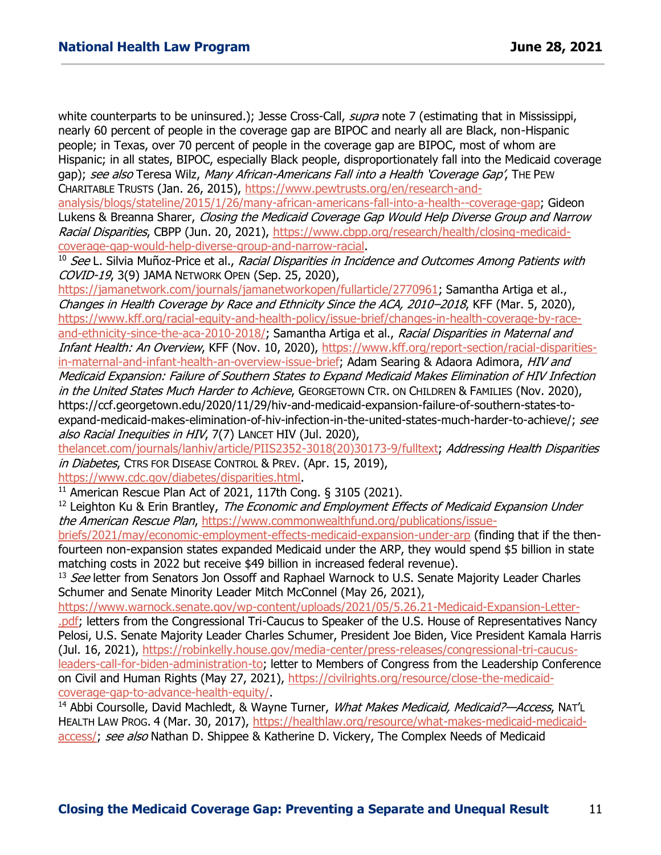white counterparts to be uninsured.); Jesse Cross-Call, supra note 7 (estimating that in Mississippi, nearly 60 percent of people in the coverage gap are BIPOC and nearly all are Black, non-Hispanic people; in Texas, over 70 percent of people in the coverage gap are BIPOC, most of whom are Hispanic; in all states, BIPOC, especially Black people, disproportionately fall into the Medicaid coverage gap); see also Teresa Wilz, Many African-Americans Fall into a Health 'Coverage Gap', THE PEW CHARITABLE TRUSTS (Jan. 26, 2015), [https://www.pewtrusts.org/en/research-and-](https://www.pewtrusts.org/en/research-and-analysis/blogs/stateline/2015/1/26/many-african-americans-fall-into-a-health--coverage-gap)

[analysis/blogs/stateline/2015/1/26/many-african-americans-fall-into-a-health--coverage-gap;](https://www.pewtrusts.org/en/research-and-analysis/blogs/stateline/2015/1/26/many-african-americans-fall-into-a-health--coverage-gap) Gideon Lukens & Breanna Sharer, Closing the Medicaid Coverage Gap Would Help Diverse Group and Narrow Racial Disparities, CBPP (Jun. 20, 2021), [https://www.cbpp.org/research/health/closing-medicaid](https://www.cbpp.org/research/health/closing-medicaid-coverage-gap-would-help-diverse-group-and-narrow-racial)[coverage-gap-would-help-diverse-group-and-narrow-racial.](https://www.cbpp.org/research/health/closing-medicaid-coverage-gap-would-help-diverse-group-and-narrow-racial)

<sup>10</sup> See L. Silvia Muñoz-Price et al., Racial Disparities in Incidence and Outcomes Among Patients with COVID-19, 3(9) JAMA NETWORK OPEN (Sep. 25, 2020),

[https://jamanetwork.com/journals/jamanetworkopen/fullarticle/2770961;](https://jamanetwork.com/journals/jamanetworkopen/fullarticle/2770961) Samantha Artiga et al., Changes in Health Coverage by Race and Ethnicity Since the ACA, 2010–2018, KFF (Mar. 5, 2020), [https://www.kff.org/racial-equity-and-health-policy/issue-brief/changes-in-health-coverage-by-race](https://www.kff.org/racial-equity-and-health-policy/issue-brief/changes-in-health-coverage-by-race-and-ethnicity-since-the-aca-2010-2018/)[and-ethnicity-since-the-aca-2010-2018/;](https://www.kff.org/racial-equity-and-health-policy/issue-brief/changes-in-health-coverage-by-race-and-ethnicity-since-the-aca-2010-2018/) Samantha Artiga et al., Racial Disparities in Maternal and Infant Health: An Overview, KFF (Nov. 10, 2020), [https://www.kff.org/report-section/racial-disparities](https://www.kff.org/report-section/racial-disparities-in-maternal-and-infant-health-an-overview-issue-brief)[in-maternal-and-infant-health-an-overview-issue-brief;](https://www.kff.org/report-section/racial-disparities-in-maternal-and-infant-health-an-overview-issue-brief) Adam Searing & Adaora Adimora, HIV and Medicaid Expansion: Failure of Southern States to Expand Medicaid Makes Elimination of HIV Infection in the United States Much Harder to Achieve, GEORGETOWN CTR. ON CHILDREN & FAMILIES (Nov. 2020), https://ccf.georgetown.edu/2020/11/29/hiv-and-medicaid-expansion-failure-of-southern-states-toexpand-medicaid-makes-elimination-of-hiv-infection-in-the-united-states-much-harder-to-achieve/; see also Racial Inequities in HIV, 7(7) LANCET HIV (Jul. 2020),

[thelancet.com/journals/lanhiv/article/PIIS2352-3018\(20\)30173-9/fulltext;](http://thelancet.com/journals/lanhiv/article/PIIS2352-3018(20)30173-9/fulltext) Addressing Health Disparities in Diabetes, CTRS FOR DISEASE CONTROL & PREV. (Apr. 15, 2019),

[https://www.cdc.gov/diabetes/disparities.html.](https://www.cdc.gov/diabetes/disparities.html)

<sup>11</sup> American Rescue Plan Act of 2021, 117th Cong. § 3105 (2021).

<sup>12</sup> Leighton Ku & Erin Brantley, *The Economic and Employment Effects of Medicaid Expansion Under* the American Rescue Plan, [https://www.commonwealthfund.org/publications/issue-](https://www.commonwealthfund.org/publications/issue-briefs/2021/may/economic-employment-effects-medicaid-expansion-under-arp)

[briefs/2021/may/economic-employment-effects-medicaid-expansion-under-arp](https://www.commonwealthfund.org/publications/issue-briefs/2021/may/economic-employment-effects-medicaid-expansion-under-arp) (finding that if the thenfourteen non-expansion states expanded Medicaid under the ARP, they would spend \$5 billion in state matching costs in 2022 but receive \$49 billion in increased federal revenue).

<sup>13</sup> See letter from Senators Jon Ossoff and Raphael Warnock to U.S. Senate Majority Leader Charles Schumer and Senate Minority Leader Mitch McConnel (May 26, 2021),

[https://www.warnock.senate.gov/wp-content/uploads/2021/05/5.26.21-Medicaid-Expansion-Letter-](https://www.warnock.senate.gov/wp-content/uploads/2021/05/5.26.21-Medicaid-Expansion-Letter-.pdf)

[.pdf;](https://www.warnock.senate.gov/wp-content/uploads/2021/05/5.26.21-Medicaid-Expansion-Letter-.pdf) letters from the Congressional Tri-Caucus to Speaker of the U.S. House of Representatives Nancy Pelosi, U.S. Senate Majority Leader Charles Schumer, President Joe Biden, Vice President Kamala Harris (Jul. 16, 2021), [https://robinkelly.house.gov/media-center/press-releases/congressional-tri-caucus](https://robinkelly.house.gov/media-center/press-releases/congressional-tri-caucus-leaders-call-for-biden-administration-to)[leaders-call-for-biden-administration-to;](https://robinkelly.house.gov/media-center/press-releases/congressional-tri-caucus-leaders-call-for-biden-administration-to) letter to Members of Congress from the Leadership Conference on Civil and Human Rights (May 27, 2021), [https://civilrights.org/resource/close-the-medicaid](https://civilrights.org/resource/close-the-medicaid-coverage-gap-to-advance-health-equity/)[coverage-gap-to-advance-health-equity/.](https://civilrights.org/resource/close-the-medicaid-coverage-gap-to-advance-health-equity/)

<sup>14</sup> Abbi Coursolle, David Machledt, & Wayne Turner, *What Makes Medicaid, Medicaid?—Access*, NAT'L HEALTH LAW PROG. 4 (Mar. 30, 2017), [https://healthlaw.org/resource/what-makes-medicaid-medicaid](https://healthlaw.org/resource/what-makes-medicaid-medicaid-access/)[access/;](https://healthlaw.org/resource/what-makes-medicaid-medicaid-access/) see also Nathan D. Shippee & Katherine D. Vickery, The Complex Needs of Medicaid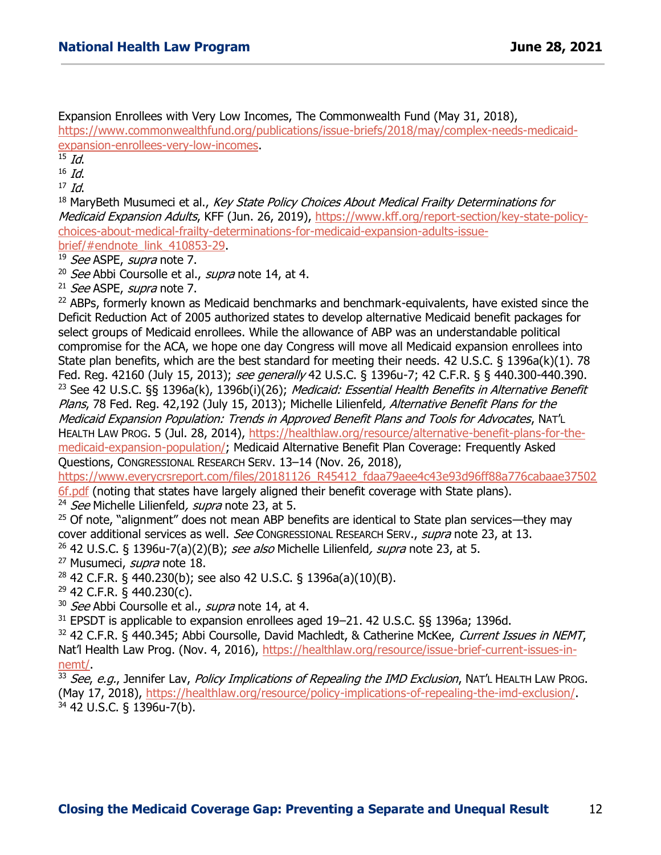Expansion Enrollees with Very Low Incomes, The Commonwealth Fund (May 31, 2018),

[https://www.commonwealthfund.org/publications/issue-briefs/2018/may/complex-needs-medicaid](https://www.commonwealthfund.org/publications/issue-briefs/2018/may/complex-needs-medicaid-expansion-enrollees-very-low-incomes)[expansion-enrollees-very-low-incomes.](https://www.commonwealthfund.org/publications/issue-briefs/2018/may/complex-needs-medicaid-expansion-enrollees-very-low-incomes)

 $15$  *Id.* 

 $16$  *Id.* 

 $17$  Id.

<sup>18</sup> MaryBeth Musumeci et al., Key State Policy Choices About Medical Frailty Determinations for Medicaid Expansion Adults, KFF (Jun. 26, 2019), [https://www.kff.org/report-section/key-state-policy](https://www.kff.org/report-section/key-state-policy-choices-about-medical-frailty-determinations-for-medicaid-expansion-adults-issue-brief/#endnote_link_410853-29)[choices-about-medical-frailty-determinations-for-medicaid-expansion-adults-issue](https://www.kff.org/report-section/key-state-policy-choices-about-medical-frailty-determinations-for-medicaid-expansion-adults-issue-brief/#endnote_link_410853-29)[brief/#endnote\\_link\\_410853-29.](https://www.kff.org/report-section/key-state-policy-choices-about-medical-frailty-determinations-for-medicaid-expansion-adults-issue-brief/#endnote_link_410853-29)

<sup>19</sup> See ASPE, supra note 7.

<sup>20</sup> See Abbi Coursolle et al., supra note 14, at 4.

 $21$  *See* ASPE, *supra* note 7.

<sup>22</sup> ABPs, formerly known as Medicaid benchmarks and benchmark-equivalents, have existed since the Deficit Reduction Act of 2005 authorized states to develop alternative Medicaid benefit packages for select groups of Medicaid enrollees. While the allowance of ABP was an understandable political compromise for the ACA, we hope one day Congress will move all Medicaid expansion enrollees into State plan benefits, which are the best standard for meeting their needs. 42 U.S.C. § 1396a(k)(1). 78 Fed. Reg. 42160 (July 15, 2013); see generally 42 U.S.C. § 1396u-7; 42 C.F.R. § § 440.300-440.390. <sup>23</sup> See 42 U.S.C. §§ 1396a(k), 1396b(i)(26); *Medicaid: Essential Health Benefits in Alternative Benefit* Plans, 78 Fed. Reg. 42,192 (July 15, 2013); Michelle Lilienfeld, Alternative Benefit Plans for the Medicaid Expansion Population: Trends in Approved Benefit Plans and Tools for Advocates, NAT'L HEALTH LAW PROG. 5 (Jul. 28, 2014), [https://healthlaw.org/resource/alternative-benefit-plans-for-the](https://healthlaw.org/resource/alternative-benefit-plans-for-the-medicaid-expansion-population/)[medicaid-expansion-population/;](https://healthlaw.org/resource/alternative-benefit-plans-for-the-medicaid-expansion-population/) Medicaid Alternative Benefit Plan Coverage: Frequently Asked Questions, CONGRESSIONAL RESEARCH SERV. 13–14 (Nov. 26, 2018),

[https://www.everycrsreport.com/files/20181126\\_R45412\\_fdaa79aee4c43e93d96ff88a776cabaae37502](https://www.everycrsreport.com/files/20181126_R45412_fdaa79aee4c43e93d96ff88a776cabaae375026f.pdf)

[6f.pdf](https://www.everycrsreport.com/files/20181126_R45412_fdaa79aee4c43e93d96ff88a776cabaae375026f.pdf) (noting that states have largely aligned their benefit coverage with State plans).

<sup>24</sup> See Michelle Lilienfeld, supra note 23, at 5.

 $25$  Of note, "alignment" does not mean ABP benefits are identical to State plan services—they may cover additional services as well. See CONGRESSIONAL RESEARCH SERV., supra note 23, at 13.

<sup>26</sup> 42 U.S.C. § 1396u-7(a)(2)(B); see also Michelle Lilienfeld, supra note 23, at 5.

<sup>27</sup> Musumeci, *supra* note 18.

 $28$  42 C.F.R. § 440.230(b); see also 42 U.S.C. § 1396a(a)(10)(B).

 $29$  42 C.F.R. § 440.230(c).

<sup>30</sup> See Abbi Coursolle et al., supra note 14, at 4.

<sup>31</sup> EPSDT is applicable to expansion enrollees aged 19–21. 42 U.S.C. §§ 1396a; 1396d.

32 42 C.F.R. § 440.345; Abbi Coursolle, David Machledt, & Catherine McKee, Current Issues in NEMT, Nat'l Health Law Prog. (Nov. 4, 2016), [https://healthlaw.org/resource/issue-brief-current-issues-in](https://healthlaw.org/resource/issue-brief-current-issues-in-nemt/)[nemt/.](https://healthlaw.org/resource/issue-brief-current-issues-in-nemt/)

33 See, e.q., Jennifer Lav, Policy Implications of Repealing the IMD Exclusion, NAT'L HEALTH LAW PROG. (May 17, 2018), [https://healthlaw.org/resource/policy-implications-of-repealing-the-imd-exclusion/.](https://healthlaw.org/resource/policy-implications-of-repealing-the-imd-exclusion/) <sup>34</sup> 42 U.S.C. § 1396u-7(b).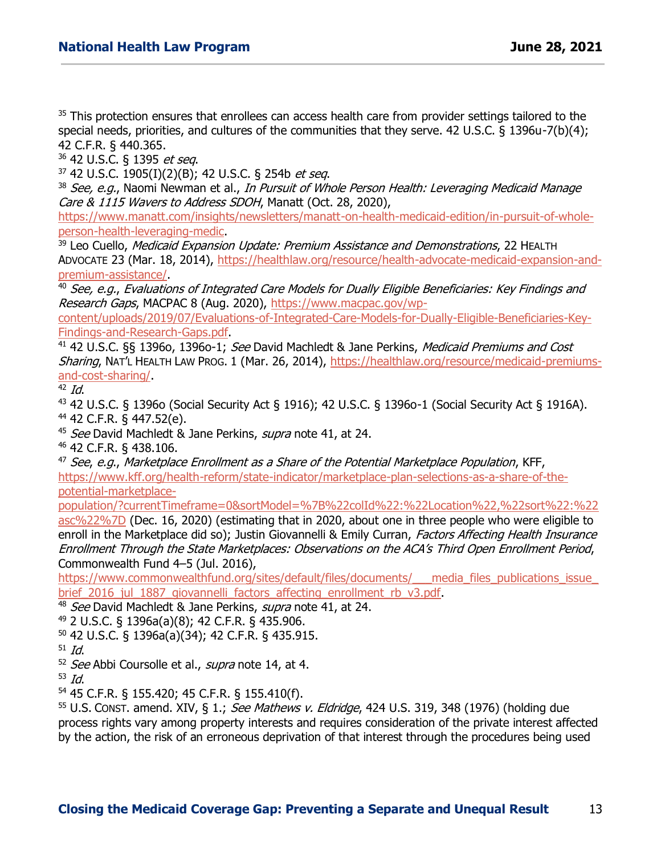<sup>35</sup> This protection ensures that enrollees can access health care from provider settings tailored to the special needs, priorities, and cultures of the communities that they serve. 42 U.S.C. § 1396u-7(b)(4); 42 C.F.R. § 440.365.

<sup>36</sup> 42 U.S.C. § 1395 et seq.

<sup>37</sup> 42 U.S.C. 1905(I)(2)(B); 42 U.S.C. § 254b et seq.

38 See, e.g., Naomi Newman et al., In Pursuit of Whole Person Health: Leveraging Medicaid Manage Care & 1115 Wavers to Address SDOH, Manatt (Oct. 28, 2020),

[https://www.manatt.com/insights/newsletters/manatt-on-health-medicaid-edition/in-pursuit-of-whole](https://www.manatt.com/insights/newsletters/manatt-on-health-medicaid-edition/in-pursuit-of-whole-person-health-leveraging-medic)[person-health-leveraging-medic.](https://www.manatt.com/insights/newsletters/manatt-on-health-medicaid-edition/in-pursuit-of-whole-person-health-leveraging-medic)

<sup>39</sup> Leo Cuello, *Medicaid Expansion Update: Premium Assistance and Demonstrations*, 22 HEALTH ADVOCATE 23 (Mar. 18, 2014), [https://healthlaw.org/resource/health-advocate-medicaid-expansion-and](https://healthlaw.org/resource/health-advocate-medicaid-expansion-and-premium-assistance/)[premium-assistance/.](https://healthlaw.org/resource/health-advocate-medicaid-expansion-and-premium-assistance/)

<sup>40</sup> See, e.g., Evaluations of Integrated Care Models for Dually Eligible Beneficiaries: Key Findings and Research Gaps, MACPAC 8 (Aug. 2020), [https://www.macpac.gov/wp-](https://www.macpac.gov/wp-content/uploads/2019/07/Evaluations-of-Integrated-Care-Models-for-Dually-Eligible-Beneficiaries-Key-Findings-and-Research-Gaps.pdf)

[content/uploads/2019/07/Evaluations-of-Integrated-Care-Models-for-Dually-Eligible-Beneficiaries-Key-](https://www.macpac.gov/wp-content/uploads/2019/07/Evaluations-of-Integrated-Care-Models-for-Dually-Eligible-Beneficiaries-Key-Findings-and-Research-Gaps.pdf)[Findings-and-Research-Gaps.pdf.](https://www.macpac.gov/wp-content/uploads/2019/07/Evaluations-of-Integrated-Care-Models-for-Dually-Eligible-Beneficiaries-Key-Findings-and-Research-Gaps.pdf)

<sup>41</sup> 42 U.S.C. §§ 1396o, 1396o-1; See David Machledt & Jane Perkins, *Medicaid Premiums and Cost* Sharing, NAT'L HEALTH LAW PROG. 1 (Mar. 26, 2014), [https://healthlaw.org/resource/medicaid-premiums](https://healthlaw.org/resource/medicaid-premiums-and-cost-sharing/)[and-cost-sharing/.](https://healthlaw.org/resource/medicaid-premiums-and-cost-sharing/)

 $42$  Id.

<sup>43</sup> 42 U.S.C. § 1396o (Social Security Act § 1916); 42 U.S.C. § 1396o-1 (Social Security Act § 1916A). <sup>44</sup> 42 C.F.R. § 447.52(e).

<sup>45</sup> See David Machledt & Jane Perkins, supra note 41, at 24.

<sup>46</sup> 42 C.F.R. § 438.106.

 $47$  See, e.g., Marketplace Enrollment as a Share of the Potential Marketplace Population. KFF. [https://www.kff.org/health-reform/state-indicator/marketplace-plan-selections-as-a-share-of-the](https://www.kff.org/health-reform/state-indicator/marketplace-plan-selections-as-a-share-of-the-potential-marketplace-population/?currentTimeframe=0&sortModel=%7B%22colId%22:%22Location%22,%22sort%22:%22asc%22%7D)[potential-marketplace-](https://www.kff.org/health-reform/state-indicator/marketplace-plan-selections-as-a-share-of-the-potential-marketplace-population/?currentTimeframe=0&sortModel=%7B%22colId%22:%22Location%22,%22sort%22:%22asc%22%7D)

[population/?currentTimeframe=0&sortModel=%7B%22colId%22:%22Location%22,%22sort%22:%22](https://www.kff.org/health-reform/state-indicator/marketplace-plan-selections-as-a-share-of-the-potential-marketplace-population/?currentTimeframe=0&sortModel=%7B%22colId%22:%22Location%22,%22sort%22:%22asc%22%7D)

[asc%22%7D](https://www.kff.org/health-reform/state-indicator/marketplace-plan-selections-as-a-share-of-the-potential-marketplace-population/?currentTimeframe=0&sortModel=%7B%22colId%22:%22Location%22,%22sort%22:%22asc%22%7D) (Dec. 16, 2020) (estimating that in 2020, about one in three people who were eligible to enroll in the Marketplace did so); Justin Giovannelli & Emily Curran, Factors Affecting Health Insurance Enrollment Through the State Marketplaces: Observations on the ACA's Third Open Enrollment Period, Commonwealth Fund 4–5 (Jul. 2016),

https://www.commonwealthfund.org/sites/default/files/documents/\_\_\_media\_files\_publications\_issue brief 2016 jul 1887 giovannelli factors affecting enrollment rb v3.pdf.

<sup>48</sup> See David Machledt & Jane Perkins, supra note 41, at 24.

<sup>49</sup> 2 U.S.C. § 1396a(a)(8); 42 C.F.R. § 435.906.

<sup>50</sup> 42 U.S.C. § 1396a(a)(34); 42 C.F.R. § 435.915.

 $51$  Id.

<sup>52</sup> See Abbi Coursolle et al., supra note 14, at 4.

 $53$  *Id.* 

<sup>54</sup> 45 C.F.R. § 155.420; 45 C.F.R. § 155.410(f).

 $55$  U.S. CONST. amend. XIV, § 1.; See Mathews v. Eldridge, 424 U.S. 319, 348 (1976) (holding due process rights vary among property interests and requires consideration of the private interest affected by the action, the risk of an erroneous deprivation of that interest through the procedures being used